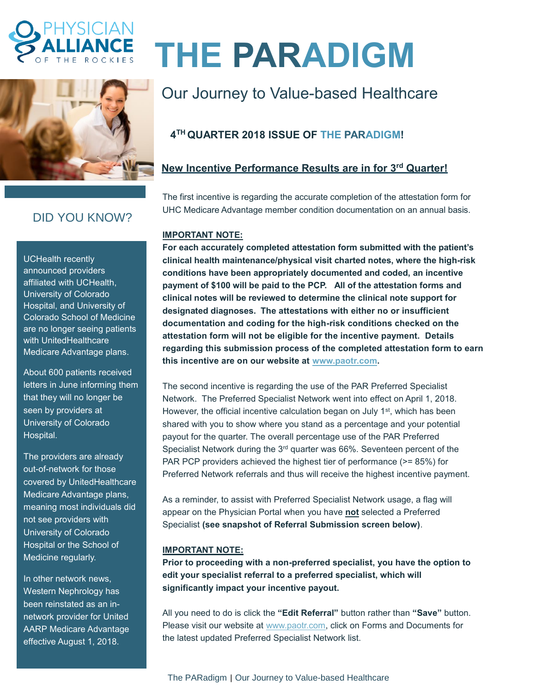



## DID YOU KNOW?

UCHealth recently announced providers affiliated with UCHealth, University of Colorado Hospital, and University of Colorado School of Medicine are no longer seeing patients with UnitedHealthcare Medicare Advantage plans.

About 600 patients received letters in June informing them that they will no longer be seen by providers at University of Colorado Hospital.

The providers are already out-of-network for those covered by UnitedHealthcare Medicare Advantage plans, meaning most individuals did not see providers with University of Colorado Hospital or the School of Medicine regularly.

In other network news, Western Nephrology has been reinstated as an innetwork provider for United AARP Medicare Advantage effective August 1, 2018.

# **THE PARADIGM**

## Our Journey to Value-based Healthcare

### **4 TH QUARTER 2018 ISSUE OF THE PARADIGM!**

#### **New Incentive Performance Results are in for 3 rd Quarter!**

The first incentive is regarding the accurate completion of the attestation form for UHC Medicare Advantage member condition documentation on an annual basis.

#### **IMPORTANT NOTE:**

**For each accurately completed attestation form submitted with the patient's clinical health maintenance/physical visit charted notes, where the high-risk conditions have been appropriately documented and coded, an incentive payment of \$100 will be paid to the PCP. All of the attestation forms and clinical notes will be reviewed to determine the clinical note support for designated diagnoses. The attestations with either no or insufficient documentation and coding for the high-risk conditions checked on the attestation form will not be eligible for the incentive payment. Details regarding this submission process of the completed attestation form to earn this incentive are on our website at [www.paotr.com.](http://www.paotr.com/)** 

The second incentive is regarding the use of the PAR Preferred Specialist Network. The Preferred Specialist Network went into effect on April 1, 2018. However, the official incentive calculation began on July 1<sup>st</sup>, which has been shared with you to show where you stand as a percentage and your potential payout for the quarter. The overall percentage use of the PAR Preferred Specialist Network during the 3rd quarter was 66%. Seventeen percent of the PAR PCP providers achieved the highest tier of performance (>= 85%) for Preferred Network referrals and thus will receive the highest incentive payment.

As a reminder, to assist with Preferred Specialist Network usage, a flag will appear on the Physician Portal when you have **not** selected a Preferred Specialist **(see snapshot of Referral Submission screen below)**.

#### **IMPORTANT NOTE:**

**Prior to proceeding with a non-preferred specialist, you have the option to edit your specialist referral to a preferred specialist, which will significantly impact your incentive payout.**

All you need to do is click the **"Edit Referral"** button rather than **"Save"** button. Please visit our website at [www.paotr.com,](http://www.paotr.com/) click on Forms and Documents for the latest updated Preferred Specialist Network list.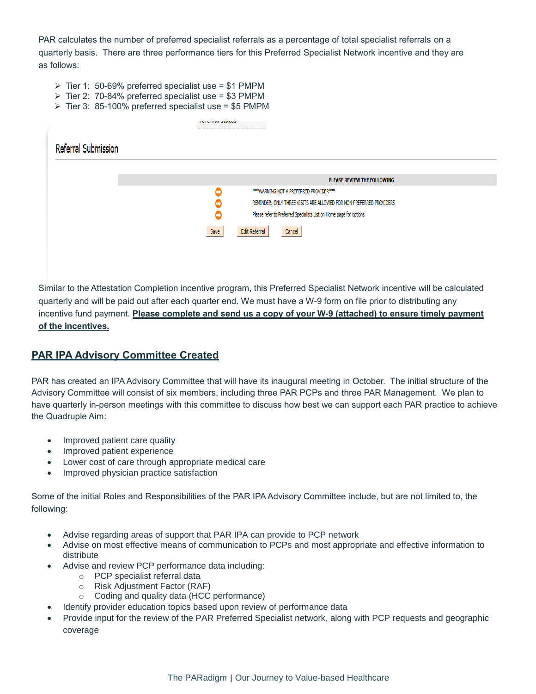PAR calculates the number of preferred specialist referrals as a percentage of total specialist referrals on a quarterly basis. There are three performance tiers for this Preferred Specialist Network incentive and they are as follows:

- ➢ Tier 1: 50-69% preferred specialist use = \$1 PMPM
- ➢ Tier 2: 70-84% preferred specialist use = \$3 PMPM
- $\triangleright$  Tier 3: 85-100% preferred specialist use = \$5 PMPM

|                            | <b>TUTULIAN JUANAJ</b>                                                   |
|----------------------------|--------------------------------------------------------------------------|
| <b>Referral Submission</b> |                                                                          |
|                            |                                                                          |
|                            | PLEASE REVIEW THE FOLLOWING                                              |
|                            | *** WARNING NOT A PREFERRED PROVIDER***<br>е                             |
|                            | REMINDER: ONLY THREE VISITS ARE ALLOWED FOR NON-PREFERRED PROVIDERS<br>۸ |
|                            | Please refer to Preferred Specialists List on Home page for options<br>⊖ |
|                            | <b>Edit Referral</b><br>Save<br>Cancel                                   |
|                            |                                                                          |
|                            |                                                                          |
|                            |                                                                          |

Similar to the Attestation Completion incentive program, this Preferred Specialist Network incentive will be calculated quarterly and will be paid out after each quarter end. We must have a W-9 form on file prior to distributing any incentive fund payment. **Please complete and send us a copy of your W-9 (attached) to ensure timely payment of the incentives.**

#### **PAR IPA Advisory Committee Created**

PAR has created an IPA Advisory Committee that will have its inaugural meeting in October. The initial structure of the Advisory Committee will consist of six members, including three PAR PCPs and three PAR Management. We plan to have quarterly in-person meetings with this committee to discuss how best we can support each PAR practice to achieve the Quadruple Aim:

- Improved patient care quality
- Improved patient experience
- Lower cost of care through appropriate medical care
- Improved physician practice satisfaction

Some of the initial Roles and Responsibilities of the PAR IPA Advisory Committee include, but are not limited to, the following:

- Advise regarding areas of support that PAR IPA can provide to PCP network
- Advise on most effective means of communication to PCPs and most appropriate and effective information to distribute
- Advise and review PCP performance data including:
	- o PCP specialist referral data
	- o Risk Adjustment Factor (RAF)
	- o Coding and quality data (HCC performance)
- Identify provider education topics based upon review of performance data
- Provide input for the review of the PAR Preferred Specialist network, along with PCP requests and geographic coverage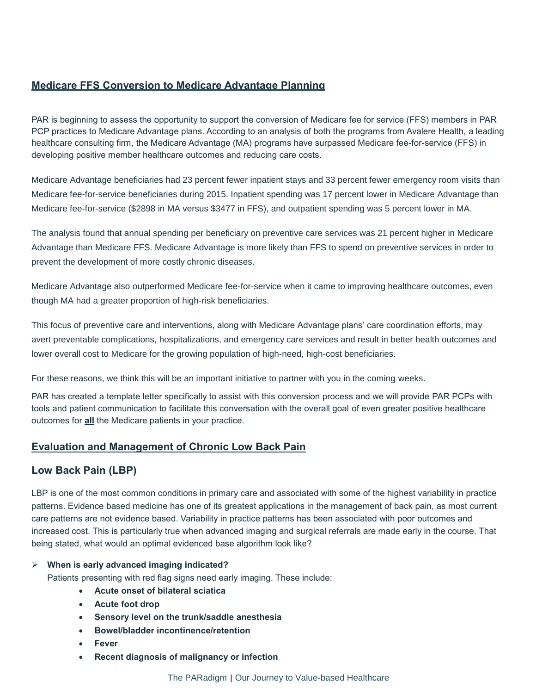#### **Medicare FFS Conversion to Medicare Advantage Planning**

PAR is beginning to assess the opportunity to support the conversion of Medicare fee for service (FFS) members in PAR PCP practices to Medicare Advantage plans. According to an analysis of both the programs from Avalere Health, a [leading](https://www.google.com/url?sa=t&rct=j&q=&esrc=s&source=web&cd=1&ved=2ahUKEwjzppjorf7cAhWJ5IMKHYycDeAQFjAAegQIBRAC&url=http%3A%2F%2Favalere.com%2F&usg=AOvVaw2_x4lZOYIkpAT5P-g5jmrN)  [healthcare consulting firm,](https://www.google.com/url?sa=t&rct=j&q=&esrc=s&source=web&cd=1&ved=2ahUKEwjzppjorf7cAhWJ5IMKHYycDeAQFjAAegQIBRAC&url=http%3A%2F%2Favalere.com%2F&usg=AOvVaw2_x4lZOYIkpAT5P-g5jmrN) the Medicare Advantage (MA) programs have surpassed Medicare fee-for-service (FFS) in developing positive member healthcare outcomes and reducing care costs.

Medicare Advantage beneficiaries had 23 percent fewer inpatient stays and 33 percent fewer emergency room visits than Medicare fee-for-service beneficiaries during 2015. Inpatient spending was 17 percent lower in Medicare Advantage than Medicare fee-for-service (\$2898 in MA versus \$3477 in FFS), and outpatient spending was 5 percent lower in MA.

The analysis found that annual spending per beneficiary on preventive care services was 21 percent higher in Medicare Advantage than Medicare FFS. Medicare Advantage is more likely than FFS to spend on preventive services in order to prevent the development of more costly chronic diseases.

Medicare Advantage also outperformed Medicare fee-for-service when it came to improving healthcare outcomes, even though MA had a greater proportion of high-risk beneficiaries.

This focus of preventive care and interventions, along with Medicare Advantage plans' care coordination efforts, may avert preventable complications, hospitalizations, and emergency care services and result in better health outcomes and lower overall cost to Medicare for the growing population of high-need, high-cost beneficiaries.

For these reasons, we think this will be an important initiative to partner with you in the coming weeks.

PAR has created a template letter specifically to assist with this conversion process and we will provide PAR PCPs with tools and patient communication to facilitate this conversation with the overall goal of even greater positive healthcare outcomes for **all** the Medicare patients in your practice.

#### **Evaluation and Management of Chronic Low Back Pain**

#### **Low Back Pain (LBP)**

LBP is one of the most common conditions in primary care and associated with some of the highest variability in practice patterns. Evidence based medicine has one of its greatest applications in the management of back pain, as most current care patterns are not evidence based. Variability in practice patterns has been associated with poor outcomes and increased cost. This is particularly true when advanced imaging and surgical referrals are made early in the course. That being stated, what would an optimal evidenced base algorithm look like?

#### ➢ **When is early advanced imaging indicated?**

Patients presenting with red flag signs need early imaging. These include:

- **Acute onset of bilateral sciatica**
- **Acute foot drop**
- **Sensory level on the trunk/saddle anesthesia**
- **Bowel/bladder incontinence/retention**
- **Fever**
- **Recent diagnosis of malignancy or infection**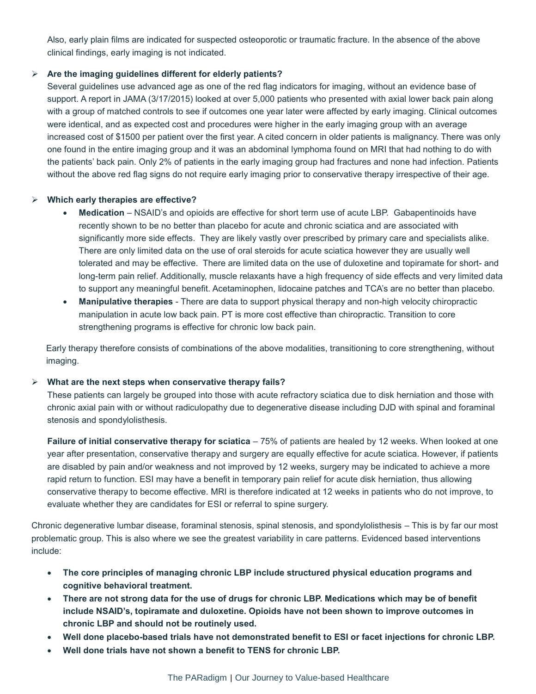Also, early plain films are indicated for suspected osteoporotic or traumatic fracture. In the absence of the above clinical findings, early imaging is not indicated.

#### ➢ **Are the imaging guidelines different for elderly patients?**

Several guidelines use advanced age as one of the red flag indicators for imaging, without an evidence base of support. A report in JAMA (3/17/2015) looked at over 5,000 patients who presented with axial lower back pain along with a group of matched controls to see if outcomes one year later were affected by early imaging. Clinical outcomes were identical, and as expected cost and procedures were higher in the early imaging group with an average increased cost of \$1500 per patient over the first year. A cited concern in older patients is malignancy. There was only one found in the entire imaging group and it was an abdominal lymphoma found on MRI that had nothing to do with the patients' back pain. Only 2% of patients in the early imaging group had fractures and none had infection. Patients without the above red flag signs do not require early imaging prior to conservative therapy irrespective of their age.

#### ➢ **Which early therapies are effective?**

- **Medication** NSAID's and opioids are effective for short term use of acute LBP. Gabapentinoids have recently shown to be no better than placebo for acute and chronic sciatica and are associated with significantly more side effects. They are likely vastly over prescribed by primary care and specialists alike. There are only limited data on the use of oral steroids for acute sciatica however they are usually well tolerated and may be effective. There are limited data on the use of duloxetine and topiramate for short- and long-term pain relief. Additionally, muscle relaxants have a high frequency of side effects and very limited data to support any meaningful benefit. Acetaminophen, lidocaine patches and TCA's are no better than placebo.
- **Manipulative therapies** There are data to support physical therapy and non-high velocity chiropractic manipulation in acute low back pain. PT is more cost effective than chiropractic. Transition to core strengthening programs is effective for chronic low back pain.

Early therapy therefore consists of combinations of the above modalities, transitioning to core strengthening, without imaging.

#### ➢ **What are the next steps when conservative therapy fails?**

These patients can largely be grouped into those with acute refractory sciatica due to disk herniation and those with chronic axial pain with or without radiculopathy due to degenerative disease including DJD with spinal and foraminal stenosis and spondylolisthesis.

**Failure of initial conservative therapy for sciatica** – 75% of patients are healed by 12 weeks. When looked at one year after presentation, conservative therapy and surgery are equally effective for acute sciatica. However, if patients are disabled by pain and/or weakness and not improved by 12 weeks, surgery may be indicated to achieve a more rapid return to function. ESI may have a benefit in temporary pain relief for acute disk herniation, thus allowing conservative therapy to become effective. MRI is therefore indicated at 12 weeks in patients who do not improve, to evaluate whether they are candidates for ESI or referral to spine surgery.

Chronic degenerative lumbar disease, foraminal stenosis, spinal stenosis, and spondylolisthesis – This is by far our most problematic group. This is also where we see the greatest variability in care patterns. Evidenced based interventions include:

- **The core principles of managing chronic LBP include structured physical education programs and cognitive behavioral treatment.**
- **There are not strong data for the use of drugs for chronic LBP. Medications which may be of benefit include NSAID's, topiramate and duloxetine. Opioids have not been shown to improve outcomes in chronic LBP and should not be routinely used.**
- **Well done placebo-based trials have not demonstrated benefit to ESI or facet injections for chronic LBP.**
- **Well done trials have not shown a benefit to TENS for chronic LBP.**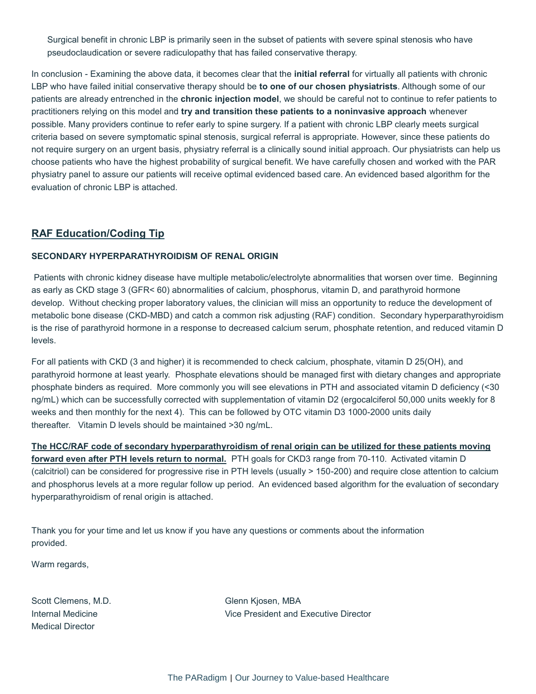Surgical benefit in chronic LBP is primarily seen in the subset of patients with severe spinal stenosis who have pseudoclaudication or severe radiculopathy that has failed conservative therapy.

In conclusion - Examining the above data, it becomes clear that the **initial referral** for virtually all patients with chronic LBP who have failed initial conservative therapy should be **to one of our chosen physiatrists**. Although some of our patients are already entrenched in the **chronic injection model**, we should be careful not to continue to refer patients to practitioners relying on this model and **try and transition these patients to a noninvasive approach** whenever possible. Many providers continue to refer early to spine surgery. If a patient with chronic LBP clearly meets surgical criteria based on severe symptomatic spinal stenosis, surgical referral is appropriate. However, since these patients do not require surgery on an urgent basis, physiatry referral is a clinically sound initial approach. Our physiatrists can help us choose patients who have the highest probability of surgical benefit. We have carefully chosen and worked with the PAR physiatry panel to assure our patients will receive optimal evidenced based care. An evidenced based algorithm for the evaluation of chronic LBP is attached.

#### **RAF Education/Coding Tip**

#### **SECONDARY HYPERPARATHYROIDISM OF RENAL ORIGIN**

Patients with chronic kidney disease have multiple metabolic/electrolyte abnormalities that worsen over time. Beginning as early as CKD stage 3 (GFR< 60) abnormalities of calcium, phosphorus, vitamin D, and parathyroid hormone develop. Without checking proper laboratory values, the clinician will miss an opportunity to reduce the development of metabolic bone disease (CKD-MBD) and catch a common risk adjusting (RAF) condition. Secondary hyperparathyroidism is the rise of parathyroid hormone in a response to decreased calcium serum, phosphate retention, and reduced vitamin D levels.

For all patients with CKD (3 and higher) it is recommended to check calcium, phosphate, vitamin D 25(OH), and parathyroid hormone at least yearly. Phosphate elevations should be managed first with dietary changes and appropriate phosphate binders as required. More commonly you will see elevations in PTH and associated vitamin D deficiency (<30 ng/mL) which can be successfully corrected with supplementation of vitamin D2 (ergocalciferol 50,000 units weekly for 8 weeks and then monthly for the next 4). This can be followed by OTC vitamin D3 1000-2000 units daily thereafter. Vitamin D levels should be maintained >30 ng/mL.

**The HCC/RAF code of secondary hyperparathyroidism of renal origin can be utilized for these patients moving forward even after PTH levels return to normal.** PTH goals for CKD3 range from 70-110. Activated vitamin D

(calcitriol) can be considered for progressive rise in PTH levels (usually > 150-200) and require close attention to calcium and phosphorus levels at a more regular follow up period. An evidenced based algorithm for the evaluation of secondary hyperparathyroidism of renal origin is attached.

Thank you for your time and let us know if you have any questions or comments about the information provided.

Warm regards,

Scott Clemens, M.D. Glenn Kjosen, MBA Medical Director

Internal Medicine Vice President and Executive Director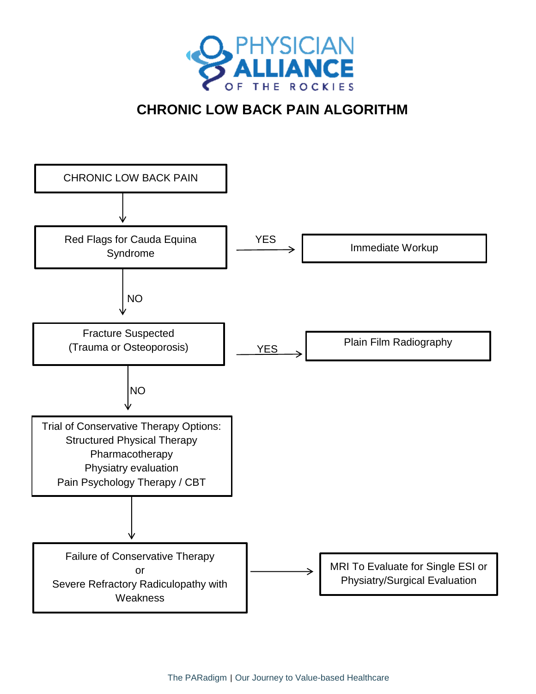

## **CHRONIC LOW BACK PAIN ALGORITHM**